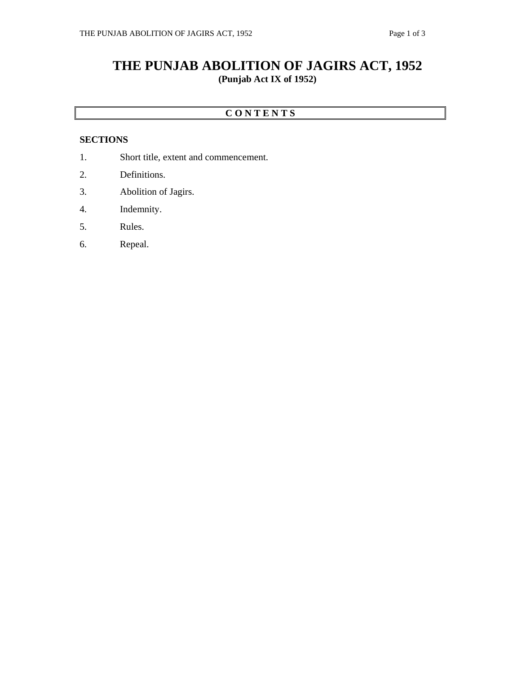# **THE PUNJAB ABOLITION OF JAGIRS ACT, 1952 (Punjab Act IX of 1952)**

### **C O N T E N T S**

### **SECTIONS**

- 1. Short title, extent and commencement.
- 2. Definitions.
- 3. Abolition of Jagirs.
- 4. Indemnity.
- 5. Rules.
- 6. Repeal.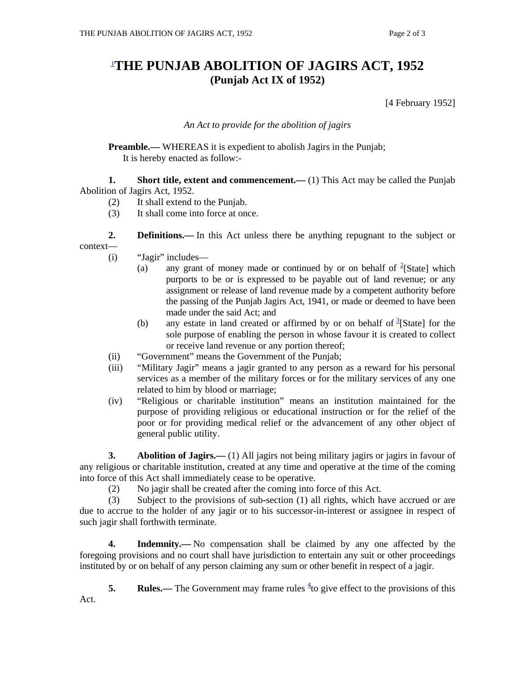# 1 **THE PUNJAB ABOLITION OF JAGIRS ACT, 1952 (Punjab Act IX of 1952)**

[4 February 1952]

### *An Act to provide for the abolition of jagirs*

**Preamble.—** WHEREAS it is expedient to abolish Jagirs in the Punjab; It is hereby enacted as follow:-

**1.** Short title, extent and commencement.—(1) This Act may be called the Punjab Abolition of Jagirs Act, 1952.

- (2) It shall extend to the Punjab.
- (3) It shall come into force at once.

**2. Definitions.**—In this Act unless there be anything repugnant to the subject or context—

- (i) "Jagir" includes—
	- (a) any grant of money made or continued by or on behalf of  $2$ [State] which purports to be or is expressed to be payable out of land revenue; or any assignment or release of land revenue made by a competent authority before the passing of the Punjab Jagirs Act, 1941, or made or deemed to have been made under the said Act; and
	- (b) any estate in land created or affirmed by or on behalf of  $\frac{3}{3}$ [State] for the sole purpose of enabling the person in whose favour it is created to collect or receive land revenue or any portion thereof;
- (ii) "Government" means the Government of the Punjab;
- (iii) "Military Jagir" means a jagir granted to any person as a reward for his personal services as a member of the military forces or for the military services of any one related to him by blood or marriage;
- (iv) "Religious or charitable institution" means an institution maintained for the purpose of providing religious or educational instruction or for the relief of the poor or for providing medical relief or the advancement of any other object of general public utility.

**3. Abolition of Jagirs.**—(1) All jagirs not being military jagirs or jagirs in favour of any religious or charitable institution, created at any time and operative at the time of the coming into force of this Act shall immediately cease to be operative.

(2) No jagir shall be created after the coming into force of this Act.

 (3) Subject to the provisions of sub-section (1) all rights, which have accrued or are due to accrue to the holder of any jagir or to his successor-in-interest or assignee in respect of such jagir shall forthwith terminate.

 **4. Indemnity.—** No compensation shall be claimed by any one affected by the foregoing provisions and no court shall have jurisdiction to entertain any suit or other proceedings instituted by or on behalf of any person claiming any sum or other benefit in respect of a jagir.

**5.** Rules.— The Government may frame rules  ${}^{4}$  to give effect to the provisions of this Act.